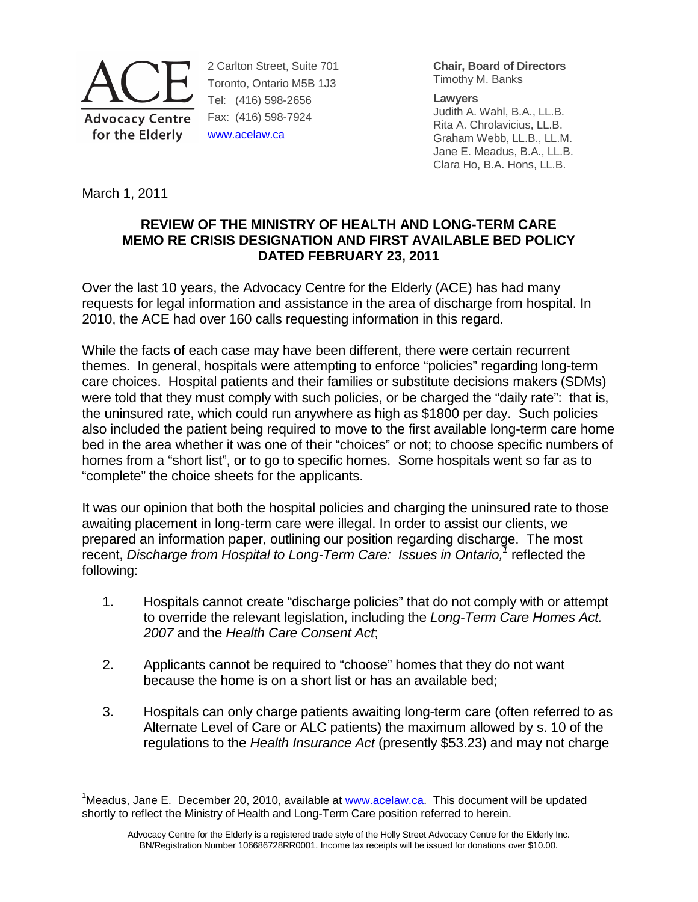

2 Carlton Street, Suite 701 Toronto, Ontario M5B 1J3 Tel: (416) 598-2656 Fax: (416) 598-7924 www.acelaw.ca

**Chair, Board of Directors** Timothy M. Banks

**Lawyers** 

Judith A. Wahl, B.A., LL.B. Rita A. Chrolavicius, LL.B. Graham Webb, LL.B., LL.M. Jane E. Meadus, B.A., LL.B. Clara Ho, B.A. Hons, LL.B.

March 1, 2011

-

## **REVIEW OF THE MINISTRY OF HEALTH AND LONG-TERM CARE MEMO RE CRISIS DESIGNATION AND FIRST AVAILABLE BED POLICY DATED FEBRUARY 23, 2011**

Over the last 10 years, the Advocacy Centre for the Elderly (ACE) has had many requests for legal information and assistance in the area of discharge from hospital. In 2010, the ACE had over 160 calls requesting information in this regard.

While the facts of each case may have been different, there were certain recurrent themes. In general, hospitals were attempting to enforce "policies" regarding long-term care choices. Hospital patients and their families or substitute decisions makers (SDMs) were told that they must comply with such policies, or be charged the "daily rate": that is, the uninsured rate, which could run anywhere as high as \$1800 per day. Such policies also included the patient being required to move to the first available long-term care home bed in the area whether it was one of their "choices" or not; to choose specific numbers of homes from a "short list", or to go to specific homes. Some hospitals went so far as to "complete" the choice sheets for the applicants.

It was our opinion that both the hospital policies and charging the uninsured rate to those awaiting placement in long-term care were illegal. In order to assist our clients, we prepared an information paper, outlining our position regarding discharge. The most recent, Discharge from Hospital to Long-Term Care: Issues in Ontario, $1$  reflected the following:

- 1. Hospitals cannot create "discharge policies" that do not comply with or attempt to override the relevant legislation, including the Long-Term Care Homes Act. 2007 and the Health Care Consent Act;
- 2. Applicants cannot be required to "choose" homes that they do not want because the home is on a short list or has an available bed;
- 3. Hospitals can only charge patients awaiting long-term care (often referred to as Alternate Level of Care or ALC patients) the maximum allowed by s. 10 of the regulations to the Health Insurance Act (presently \$53.23) and may not charge

<sup>&</sup>lt;sup>1</sup>Meadus, Jane E. December 20, 2010, available at www.acelaw.ca. This document will be updated shortly to reflect the Ministry of Health and Long-Term Care position referred to herein.

Advocacy Centre for the Elderly is a registered trade style of the Holly Street Advocacy Centre for the Elderly Inc. BN/Registration Number 106686728RR0001. Income tax receipts will be issued for donations over \$10.00.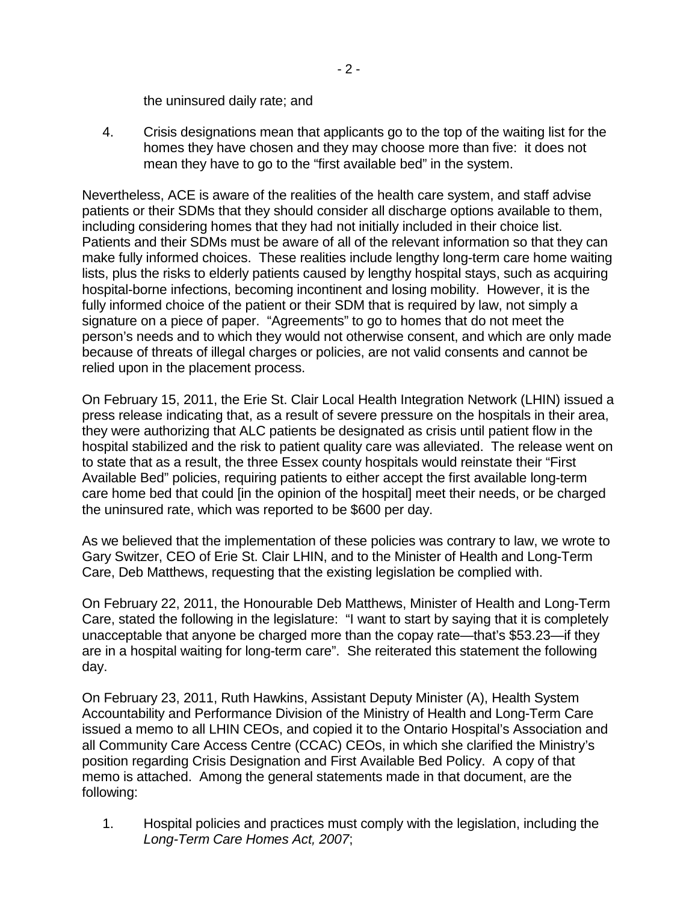the uninsured daily rate; and

4. Crisis designations mean that applicants go to the top of the waiting list for the homes they have chosen and they may choose more than five: it does not mean they have to go to the "first available bed" in the system.

Nevertheless, ACE is aware of the realities of the health care system, and staff advise patients or their SDMs that they should consider all discharge options available to them, including considering homes that they had not initially included in their choice list. Patients and their SDMs must be aware of all of the relevant information so that they can make fully informed choices. These realities include lengthy long-term care home waiting lists, plus the risks to elderly patients caused by lengthy hospital stays, such as acquiring hospital-borne infections, becoming incontinent and losing mobility. However, it is the fully informed choice of the patient or their SDM that is required by law, not simply a signature on a piece of paper. "Agreements" to go to homes that do not meet the person's needs and to which they would not otherwise consent, and which are only made because of threats of illegal charges or policies, are not valid consents and cannot be relied upon in the placement process.

On February 15, 2011, the Erie St. Clair Local Health Integration Network (LHIN) issued a press release indicating that, as a result of severe pressure on the hospitals in their area, they were authorizing that ALC patients be designated as crisis until patient flow in the hospital stabilized and the risk to patient quality care was alleviated. The release went on to state that as a result, the three Essex county hospitals would reinstate their "First Available Bed" policies, requiring patients to either accept the first available long-term care home bed that could [in the opinion of the hospital] meet their needs, or be charged the uninsured rate, which was reported to be \$600 per day.

As we believed that the implementation of these policies was contrary to law, we wrote to Gary Switzer, CEO of Erie St. Clair LHIN, and to the Minister of Health and Long-Term Care, Deb Matthews, requesting that the existing legislation be complied with.

On February 22, 2011, the Honourable Deb Matthews, Minister of Health and Long-Term Care, stated the following in the legislature: "I want to start by saying that it is completely unacceptable that anyone be charged more than the copay rate—that's \$53.23—if they are in a hospital waiting for long-term care". She reiterated this statement the following day.

On February 23, 2011, Ruth Hawkins, Assistant Deputy Minister (A), Health System Accountability and Performance Division of the Ministry of Health and Long-Term Care issued a memo to all LHIN CEOs, and copied it to the Ontario Hospital's Association and all Community Care Access Centre (CCAC) CEOs, in which she clarified the Ministry's position regarding Crisis Designation and First Available Bed Policy. A copy of that memo is attached. Among the general statements made in that document, are the following:

1. Hospital policies and practices must comply with the legislation, including the Long-Term Care Homes Act, 2007;